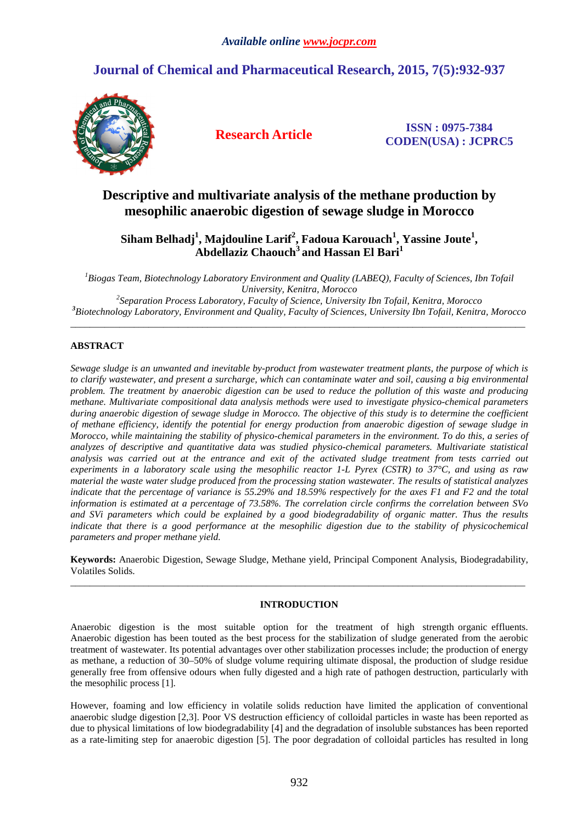# **Journal of Chemical and Pharmaceutical Research, 2015, 7(5):932-937**



**Research Article ISSN : 0975-7384 CODEN(USA) : JCPRC5**

# **Descriptive and multivariate analysis of the methane production by mesophilic anaerobic digestion of sewage sludge in Morocco**

**Siham Belhadj<sup>1</sup> , Majdouline Larif<sup>2</sup> , Fadoua Karouach<sup>1</sup> , Yassine Joute<sup>1</sup> , Abdellaziz Chaouch<sup>3</sup>and Hassan El Bari<sup>1</sup>**

*<sup>1</sup>Biogas Team, Biotechnology Laboratory Environment and Quality (LABEQ), Faculty of Sciences, Ibn Tofail University, Kenitra, Morocco 2 Separation Process Laboratory, Faculty of Science, University Ibn Tofail, Kenitra, Morocco* 

*<sup>3</sup>Biotechnology Laboratory, Environment and Quality, Faculty of Sciences, University Ibn Tofail, Kenitra, Morocco*  \_\_\_\_\_\_\_\_\_\_\_\_\_\_\_\_\_\_\_\_\_\_\_\_\_\_\_\_\_\_\_\_\_\_\_\_\_\_\_\_\_\_\_\_\_\_\_\_\_\_\_\_\_\_\_\_\_\_\_\_\_\_\_\_\_\_\_\_\_\_\_\_\_\_\_\_\_\_\_\_\_\_\_\_\_\_\_\_\_\_\_\_\_

# **ABSTRACT**

*Sewage sludge is an unwanted and inevitable by-product from wastewater treatment plants, the purpose of which is to clarify wastewater, and present a surcharge, which can contaminate water and soil, causing a big environmental problem. The treatment by anaerobic digestion can be used to reduce the pollution of this waste and producing methane. Multivariate compositional data analysis methods were used to investigate physico-chemical parameters during anaerobic digestion of sewage sludge in Morocco. The objective of this study is to determine the coefficient of methane efficiency, identify the potential for energy production from anaerobic digestion of sewage sludge in Morocco, while maintaining the stability of physico-chemical parameters in the environment. To do this, a series of analyzes of descriptive and quantitative data was studied physico-chemical parameters. Multivariate statistical analysis was carried out at the entrance and exit of the activated sludge treatment from tests carried out experiments in a laboratory scale using the mesophilic reactor 1-L Pyrex (CSTR) to 37°C, and using as raw material the waste water sludge produced from the processing station wastewater. The results of statistical analyzes indicate that the percentage of variance is 55.29% and 18.59% respectively for the axes F1 and F2 and the total information is estimated at a percentage of 73.58%. The correlation circle confirms the correlation between SVo and SVi parameters which could be explained by a good biodegradability of organic matter. Thus the results indicate that there is a good performance at the mesophilic digestion due to the stability of physicochemical parameters and proper methane yield.* 

**Keywords:** Anaerobic Digestion, Sewage Sludge, Methane yield, Principal Component Analysis, Biodegradability, Volatiles Solids. \_\_\_\_\_\_\_\_\_\_\_\_\_\_\_\_\_\_\_\_\_\_\_\_\_\_\_\_\_\_\_\_\_\_\_\_\_\_\_\_\_\_\_\_\_\_\_\_\_\_\_\_\_\_\_\_\_\_\_\_\_\_\_\_\_\_\_\_\_\_\_\_\_\_\_\_\_\_\_\_\_\_\_\_\_\_\_\_\_\_\_\_\_

# **INTRODUCTION**

Anaerobic digestion is the most suitable option for the treatment of high strength organic effluents. Anaerobic digestion has been touted as the best process for the stabilization of sludge generated from the aerobic treatment of wastewater. Its potential advantages over other stabilization processes include; the production of energy as methane, a reduction of 30–50% of sludge volume requiring ultimate disposal, the production of sludge residue generally free from offensive odours when fully digested and a high rate of pathogen destruction, particularly with the mesophilic process [1].

However, foaming and low efficiency in volatile solids reduction have limited the application of conventional anaerobic sludge digestion [2,3]. Poor VS destruction efficiency of colloidal particles in waste has been reported as due to physical limitations of low biodegradability [4] and the degradation of insoluble substances has been reported as a rate-limiting step for anaerobic digestion [5]. The poor degradation of colloidal particles has resulted in long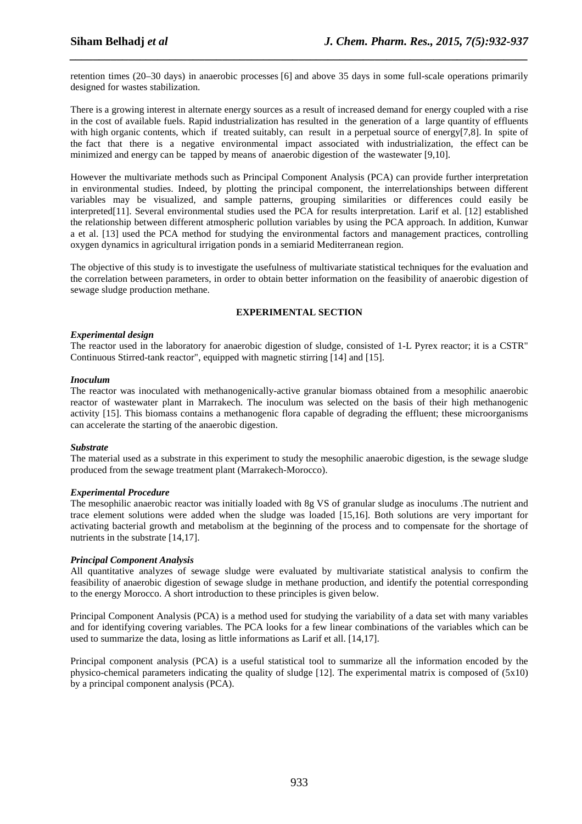retention times (20–30 days) in anaerobic processes [6] and above 35 days in some full-scale operations primarily designed for wastes stabilization.

*\_\_\_\_\_\_\_\_\_\_\_\_\_\_\_\_\_\_\_\_\_\_\_\_\_\_\_\_\_\_\_\_\_\_\_\_\_\_\_\_\_\_\_\_\_\_\_\_\_\_\_\_\_\_\_\_\_\_\_\_\_\_\_\_\_\_\_\_\_\_\_\_\_\_\_\_\_\_*

There is a growing interest in alternate energy sources as a result of increased demand for energy coupled with a rise in the cost of available fuels. Rapid industrialization has resulted in the generation of a large quantity of effluents with high organic contents, which if treated suitably, can result in a perpetual source of energy[7,8]. In spite of the fact that there is a negative environmental impact associated with industrialization, the effect can be minimized and energy can be tapped by means of anaerobic digestion of the wastewater [9,10].

However the multivariate methods such as Principal Component Analysis (PCA) can provide further interpretation in environmental studies. Indeed, by plotting the principal component, the interrelationships between different variables may be visualized, and sample patterns, grouping similarities or differences could easily be interpreted[11]. Several environmental studies used the PCA for results interpretation. Larif et al. [12] established the relationship between different atmospheric pollution variables by using the PCA approach. In addition, Kunwar a et al. [13] used the PCA method for studying the environmental factors and management practices, controlling oxygen dynamics in agricultural irrigation ponds in a semiarid Mediterranean region.

The objective of this study is to investigate the usefulness of multivariate statistical techniques for the evaluation and the correlation between parameters, in order to obtain better information on the feasibility of anaerobic digestion of sewage sludge production methane.

# **EXPERIMENTAL SECTION**

# *Experimental design*

The reactor used in the laboratory for anaerobic digestion of sludge, consisted of 1-L Pyrex reactor; it is a CSTR" Continuous Stirred-tank reactor", equipped with magnetic stirring [14] and [15].

### *Inoculum*

The reactor was inoculated with methanogenically-active granular biomass obtained from a mesophilic anaerobic reactor of wastewater plant in Marrakech. The inoculum was selected on the basis of their high methanogenic activity [15]. This biomass contains a methanogenic flora capable of degrading the effluent; these microorganisms can accelerate the starting of the anaerobic digestion.

# *Substrate*

The material used as a substrate in this experiment to study the mesophilic anaerobic digestion, is the sewage sludge produced from the sewage treatment plant (Marrakech-Morocco).

#### *Experimental Procedure*

The mesophilic anaerobic reactor was initially loaded with 8g VS of granular sludge as inoculums .The nutrient and trace element solutions were added when the sludge was loaded [15,16]. Both solutions are very important for activating bacterial growth and metabolism at the beginning of the process and to compensate for the shortage of nutrients in the substrate [14,17].

# *Principal Component Analysis*

All quantitative analyzes of sewage sludge were evaluated by multivariate statistical analysis to confirm the feasibility of anaerobic digestion of sewage sludge in methane production, and identify the potential corresponding to the energy Morocco. A short introduction to these principles is given below.

Principal Component Analysis (PCA) is a method used for studying the variability of a data set with many variables and for identifying covering variables. The PCA looks for a few linear combinations of the variables which can be used to summarize the data, losing as little informations as Larif et all. [14,17].

Principal component analysis (PCA) is a useful statistical tool to summarize all the information encoded by the physico-chemical parameters indicating the quality of sludge [12]. The experimental matrix is composed of (5x10) by a principal component analysis (PCA).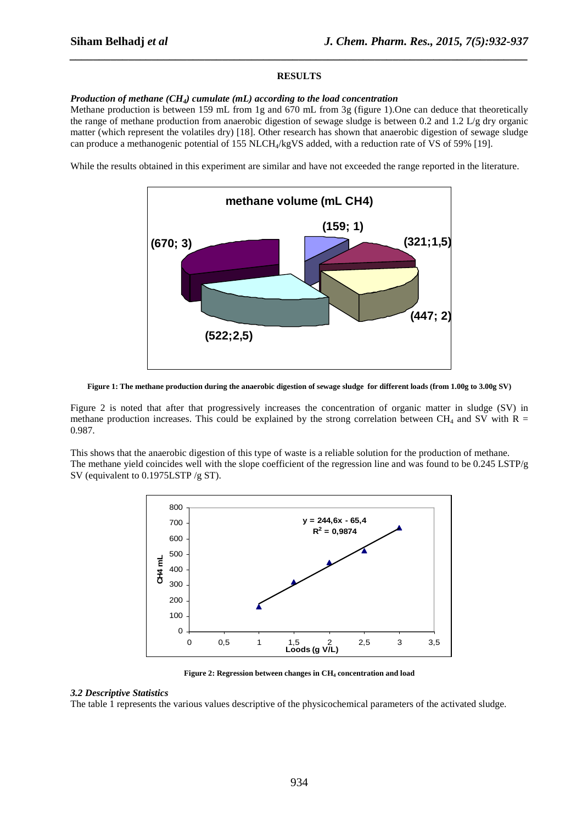### **RESULTS**

*\_\_\_\_\_\_\_\_\_\_\_\_\_\_\_\_\_\_\_\_\_\_\_\_\_\_\_\_\_\_\_\_\_\_\_\_\_\_\_\_\_\_\_\_\_\_\_\_\_\_\_\_\_\_\_\_\_\_\_\_\_\_\_\_\_\_\_\_\_\_\_\_\_\_\_\_\_\_*

#### *Production of methane (CH4) cumulate (mL) according to the load concentration*

Methane production is between 159 mL from 1g and 670 mL from 3g (figure 1).One can deduce that theoretically the range of methane production from anaerobic digestion of sewage sludge is between 0.2 and 1.2 L/g dry organic matter (which represent the volatiles dry) [18]. Other research has shown that anaerobic digestion of sewage sludge can produce a methanogenic potential of 155 NLCH<sub>4</sub>/kgVS added, with a reduction rate of VS of 59% [19].

While the results obtained in this experiment are similar and have not exceeded the range reported in the literature.



**Figure 1: The methane production during the anaerobic digestion of sewage sludge for different loads (from 1.00g to 3.00g SV)** 

Figure 2 is noted that after that progressively increases the concentration of organic matter in sludge (SV) in methane production increases. This could be explained by the strong correlation between CH<sub>4</sub> and SV with R = 0.987.

This shows that the anaerobic digestion of this type of waste is a reliable solution for the production of methane. The methane yield coincides well with the slope coefficient of the regression line and was found to be  $0.245$  LSTP/g SV (equivalent to 0.1975LSTP /g ST).



**Figure 2: Regression between changes in CH4 concentration and load** 

#### *3.2 Descriptive Statistics*

The table 1 represents the various values descriptive of the physicochemical parameters of the activated sludge.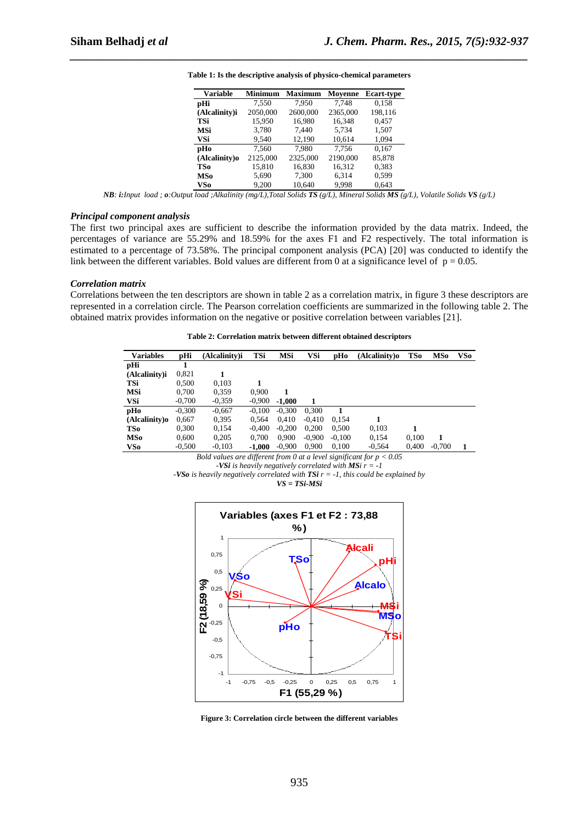| <b>Variable</b> | <b>Minimum</b> | <b>Maximum</b> | Moyenne  | <b>Ecart-type</b> |  |
|-----------------|----------------|----------------|----------|-------------------|--|
| pHi             | 7.550          | 7.950          | 7.748    | 0.158             |  |
| (Alcalinity)i   | 2050,000       | 2600,000       | 2365,000 | 198,116           |  |
| TSi             | 15.950         | 16.980         | 16.348   | 0.457             |  |
| MSi             | 3.780          | 7.440          | 5.734    | 1,507             |  |
| VSi             | 9.540          | 12.190         | 10.614   | 1,094             |  |
| pHo             | 7.560          | 7.980          | 7.756    | 0.167             |  |
| (Alcalinity)o   | 2125,000       | 2325,000       | 2190,000 | 85,878            |  |
| TSo             | 15,810         | 16,830         | 16,312   | 0,383             |  |
| MSo             | 5.690          | 7.300          | 6,314    | 0.599             |  |
| VSo             | 9.200          | 10.640         | 9.998    | 0.643             |  |

**Table 1: Is the descriptive analysis of physico-chemical parameters** 

*\_\_\_\_\_\_\_\_\_\_\_\_\_\_\_\_\_\_\_\_\_\_\_\_\_\_\_\_\_\_\_\_\_\_\_\_\_\_\_\_\_\_\_\_\_\_\_\_\_\_\_\_\_\_\_\_\_\_\_\_\_\_\_\_\_\_\_\_\_\_\_\_\_\_\_\_\_\_*

*NB: i:Input load ; o:Output load ;Alkalinity (mg/L),Total Solids TS (g/L), Mineral Solids MS (g/L), Volatile Solids VS (g/L)* 

#### *Principal component analysis*

The first two principal axes are sufficient to describe the information provided by the data matrix. Indeed, the percentages of variance are 55.29% and 18.59% for the axes F1 and F2 respectively. The total information is estimated to a percentage of 73.58%. The principal component analysis (PCA) [20] was conducted to identify the link between the different variables. Bold values are different from 0 at a significance level of  $p = 0.05$ .

#### *Correlation matrix*

Correlations between the ten descriptors are shown in table 2 as a correlation matrix, in figure 3 these descriptors are represented in a correlation circle. The Pearson correlation coefficients are summarized in the following table 2. The obtained matrix provides information on the negative or positive correlation between variables [21].

**Table 2: Correlation matrix between different obtained descriptors** 

| <b>Variables</b> | pHi      | (Alcalinity)i | TSi      | <b>MSi</b> | VSi      | pHo      | (Alcalinity)o | TSo   | MSo      | VSo |
|------------------|----------|---------------|----------|------------|----------|----------|---------------|-------|----------|-----|
| pHi              |          |               |          |            |          |          |               |       |          |     |
| (Alcalinity)i    | 0,821    |               |          |            |          |          |               |       |          |     |
| TSi              | 0.500    | 0.103         |          |            |          |          |               |       |          |     |
| MSi              | 0.700    | 0.359         | 0.900    | 1          |          |          |               |       |          |     |
| VSi              | $-0.700$ | $-0,359$      | $-0.900$ | $-1.000$   | 1        |          |               |       |          |     |
| pHo              | $-0.300$ | $-0.667$      | $-0.100$ | $-0.300$   | 0.300    |          |               |       |          |     |
| (Alcalinity)o    | 0,667    | 0.395         | 0.564    | 0.410      | $-0.410$ | 0.154    | 1             |       |          |     |
| TSo              | 0.300    | 0,154         | $-0.400$ | $-0.200$   | 0.200    | 0,500    | 0,103         |       |          |     |
| MSo              | 0.600    | 0,205         | 0.700    | 0.900      | $-0.900$ | $-0.100$ | 0.154         | 0.100 |          |     |
| VS0              | $-0.500$ | $-0.103$      | $-1.000$ | $-0.900$   | 0.900    | 0.100    | $-0.564$      | 0.400 | $-0.700$ | 1   |

*Bold values are different from 0 at a level significant for p < 0.05* 

*-VSi is heavily negatively correlated with MSi r = -1* 

*VS = TSi-MSi*



**Figure 3: Correlation circle between the different variables** 

*<sup>-</sup>VSo is heavily negatively correlated with TSi r = -1, this could be explained by*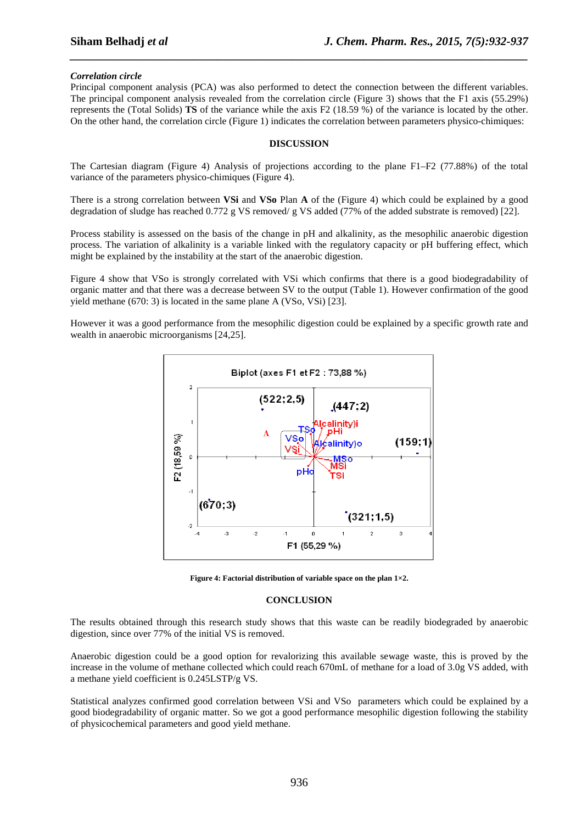# *Correlation circle*

Principal component analysis (PCA) was also performed to detect the connection between the different variables. The principal component analysis revealed from the correlation circle (Figure 3) shows that the F1 axis (55.29%) represents the (Total Solids) **TS** of the variance while the axis F2 (18.59 %) of the variance is located by the other. On the other hand, the correlation circle (Figure 1) indicates the correlation between parameters physico-chimiques:

*\_\_\_\_\_\_\_\_\_\_\_\_\_\_\_\_\_\_\_\_\_\_\_\_\_\_\_\_\_\_\_\_\_\_\_\_\_\_\_\_\_\_\_\_\_\_\_\_\_\_\_\_\_\_\_\_\_\_\_\_\_\_\_\_\_\_\_\_\_\_\_\_\_\_\_\_\_\_*

### **DISCUSSION**

The Cartesian diagram (Figure 4) Analysis of projections according to the plane F1–F2 (77.88%) of the total variance of the parameters physico-chimiques (Figure 4).

There is a strong correlation between **VSi** and **VSo** Plan **A** of the (Figure 4) which could be explained by a good degradation of sludge has reached 0.772 g VS removed/ g VS added (77% of the added substrate is removed) [22].

Process stability is assessed on the basis of the change in pH and alkalinity, as the mesophilic anaerobic digestion process. The variation of alkalinity is a variable linked with the regulatory capacity or pH buffering effect, which might be explained by the instability at the start of the anaerobic digestion.

Figure 4 show that VSo is strongly correlated with VSi which confirms that there is a good biodegradability of organic matter and that there was a decrease between SV to the output (Table 1). However confirmation of the good yield methane (670: 3) is located in the same plane A (VSo, VSi) [23].

However it was a good performance from the mesophilic digestion could be explained by a specific growth rate and wealth in anaerobic microorganisms [24,25].



**Figure 4: Factorial distribution of variable space on the plan 1×2.** 

#### **CONCLUSION**

The results obtained through this research study shows that this waste can be readily biodegraded by anaerobic digestion, since over 77% of the initial VS is removed.

Anaerobic digestion could be a good option for revalorizing this available sewage waste, this is proved by the increase in the volume of methane collected which could reach 670mL of methane for a load of 3.0g VS added, with a methane yield coefficient is 0.245LSTP/g VS.

Statistical analyzes confirmed good correlation between VSi and VSo parameters which could be explained by a good biodegradability of organic matter. So we got a good performance mesophilic digestion following the stability of physicochemical parameters and good yield methane.